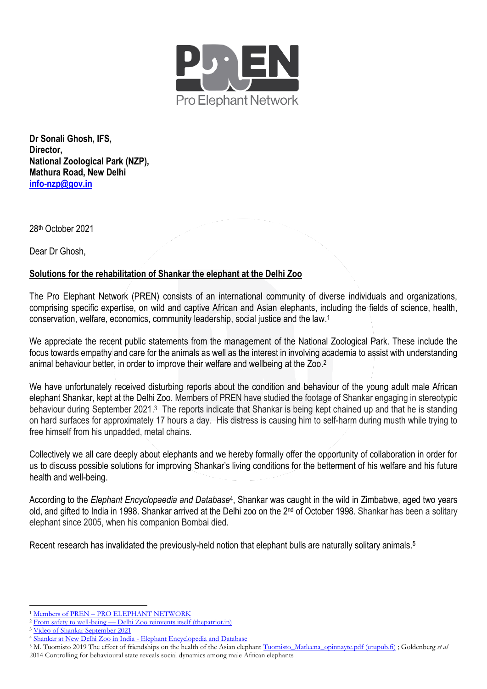

**Dr Sonali Ghosh, IFS, Director, National Zoological Park (NZP), Mathura Road, New Delhi [info-nzp@gov.in](mailto:info-nzp@gov.in)**

28 th October 2021

Dear Dr Ghosh.

## **Solutions for the rehabilitation of Shankar the elephant at the Delhi Zoo**

The Pro Elephant Network (PREN) consists of an international community of diverse individuals and organizations, comprising specific expertise, on wild and captive African and Asian elephants, including the fields of science, health, conservation, welfare, economics, community leadership, social justice and the law. 1

We appreciate the recent public statements from the management of the National Zoological Park. These include the focus towards empathy and care for the animals as well as the interest in involving academia to assist with understanding animal behaviour better, in order to improve their welfare and wellbeing at the Zoo. 2

We have unfortunately received disturbing reports about the condition and behaviour of the young adult male African elephant Shankar, kept at the Delhi Zoo. Members of PREN have studied the footage of Shankar engaging in stereotypic behaviour during September 2021.<sup>3</sup> The reports indicate that Shankar is being kept chained up and that he is standing on hard surfaces for approximately 17 hours a day. His distress is causing him to self-harm during musth while trying to free himself from his unpadded, metal chains.

Collectively we all care deeply about elephants and we hereby formally offer the opportunity of collaboration in order for us to discuss possible solutions for improving Shankar's living conditions for the betterment of his welfare and his future health and well-being.

According to the *Elephant Encyclopaedia and Database<sup>4</sup>*, Shankar was caught in the wild in Zimbabwe, aged two years old, and gifted to India in 1998. Shankar arrived at the Delhi zoo on the 2nd of October 1998. Shankar has been a solitary elephant since 2005, when his companion Bombai died.

Recent research has invalidated the previously-held notion that elephant bulls are naturally solitary animals.<sup>5</sup>

<sup>1</sup> Members of PREN – [PRO ELEPHANT NETWORK](https://www.proelephantnetwork.org/pren-members/)

<sup>2</sup> From safety to well-being — [Delhi Zoo reinvents itself \(thepatriot.in\)](https://thepatriot.in/2021/08/10/from-safety-to-well-being-delhi-zoo-reinvents-itself/)

<sup>3</sup> [Video of Shankar September 2021](https://drive.google.com/file/d/1-_vMUg_0lVTadyKGS9GBC7ztcrYNZJM0/view) 

<sup>4</sup> Shankar at New Delhi Zoo in India - [Elephant Encyclopedia and Database](https://www.elephant.se/database2.php?elephant_id=348)

<sup>&</sup>lt;sup>5</sup> M. Tuomisto 2019 The effect of friendships on the health of the Asian elephant [Tuomisto\\_Matleena\\_opinnayte.pdf \(utupub.fi\)](https://www.utupub.fi/bitstream/handle/10024/147259/Tuomisto_Matleena_opinnayte.pdf?sequence=1) ; Goldenberg *et al* 

<sup>2014</sup> Controlling for behavioural state reveals social dynamics among male African elephants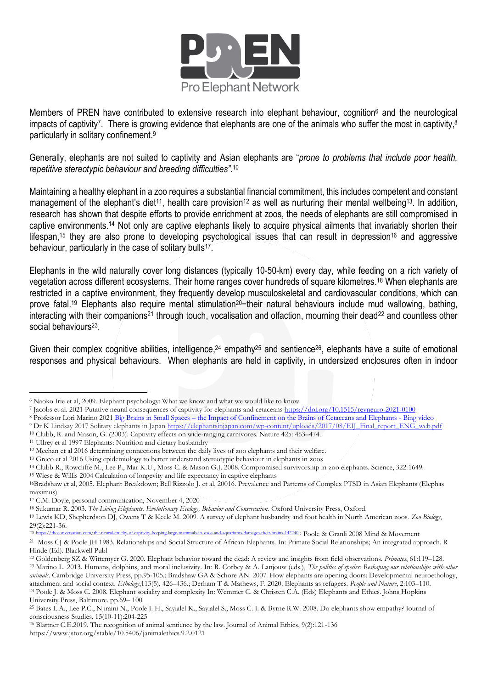

Members of PREN have contributed to extensive research into elephant behaviour, cognition<sup>6</sup> and the neurological impacts of captivity<sup>7</sup>. There is growing evidence that elephants are one of the animals who suffer the most in captivity,<sup>8</sup> particularly in solitary confinement. 9

Generally, elephants are not suited to captivity and Asian elephants are "*prone to problems that include poor health, repetitive stereotypic behaviour and breeding difficulties"*. 10

Maintaining a healthy elephant in a zoo requires a substantial financial commitment, this includes competent and constant management of the elephant's diet<sup>11</sup>, health care provision<sup>12</sup> as well as nurturing their mental wellbeing<sup>13</sup>. In addition, research has shown that despite efforts to provide enrichment at zoos, the needs of elephants are still compromised in captive environments. <sup>14</sup> Not only are captive elephants likely to acquire physical ailments that invariably shorten their lifespan,<sup>15</sup> they are also prone to developing psychological issues that can result in depression<sup>16</sup> and aggressive behaviour, particularly in the case of solitary bulls<sup>17</sup>.

Elephants in the wild naturally cover long distances (typically 10-50-km) every day, while feeding on a rich variety of vegetation across different ecosystems. Their home ranges cover hundreds of square kilometres. <sup>18</sup> When elephants are restricted in a captive environment, they frequently develop musculoskeletal and cardiovascular conditions, which can prove fatal.<sup>19</sup> Elephants also require mental stimulation<sup>20</sup>-their natural behaviours include mud wallowing, bathing, interacting with their companions<sup>21</sup> through touch, vocalisation and olfaction, mourning their dead<sup>22</sup> and countless other social behaviours<sup>23</sup>.

Given their complex cognitive abilities, intelligence,<sup>24</sup> empathy<sup>25</sup> and sentience<sup>26</sup>, elephants have a suite of emotional responses and physical behaviours. When elephants are held in captivity, in undersized enclosures often in indoor

<sup>8</sup> Professor Lori Marino 2021 Big Brains in Small Spaces – [the Impact of Confinement on the Brains of Cetaceans and Elephants -](https://www.bing.com/videos/search?q=big+brain+in+small+spaces+elephants+Lori+Marino+&&view=detail&mid=7D02A46EDD8CE07BE49C7D02A46EDD8CE07BE49C&&FORM=VRDGAR&ru=%2Fvideos%2Fsearch%3Fq%3Dbig%2Bbrain%2Bin%2Bsmall%2Bspaces%2Belephants%2BLori%2BMarino%2B%26FORM%3DHDRSC3) Bing video

<sup>15</sup> Wiese & Willis 2004 Calculation of longevity and life expectancy in captive elephants

<sup>6</sup> Naoko Irie et al, 2009. Elephant psychology: What we know and what we would like to know

<sup>7</sup> Jacobs et al. 2021 Putative neural consequences of captivity for elephants and cetaceans <https://doi.org/10.1515/revneuro-2021-0100>

<sup>&</sup>lt;sup>9</sup> Dr K Lindsay 2017 Solitary elephants in Japan [https://elephantsinjapan.com/wp-content/uploads/2017/08/EIJ\\_Final\\_report\\_ENG\\_web.pdf](https://elephantsinjapan.com/wp-content/uploads/2017/08/EIJ_Final_report_ENG_web.pdf) <sup>10</sup> Clubb, R. and Mason, G. (2003). Captivity effects on wide-ranging carnivores. Nature 425: 463–474.

<sup>11</sup> Ullrey et al 1997 Elephants: Nutrition and dietary husbandry

<sup>12</sup> Meehan et al 2016 determining connections between the daily lives of zoo elephants and their welfare.

<sup>13</sup> Greco et al 2016 Using epidemiology to better understand stereotypic behaviour in elephants in zoos

<sup>14</sup> Clubb R., Rowcliffe M., Lee P., Mar K.U., Moss C. & Mason G.J. 2008. Compromised survivorship in zoo elephants. Science, 322:1649.

<sup>16</sup>Bradshaw et al, 2005. Elephant Breakdown; Bell Rizzolo J. et al, 20016. Prevalence and Patterns of Complex PTSD in Asian Elephants (Elephas maximus)

<sup>17</sup> C.M. Doyle, personal communication, November 4, 2020

<sup>18</sup> Sukumar R. 2003. *The Living Elephants. Evolutionary Ecology, Behavior and Conservation.* Oxford University Press, Oxford.

<sup>19</sup> Lewis KD, Shepherdson DJ, Owens T & Keele M. 2009. A survey of elephant husbandry and foot health in North American zoos. *Zoo Biology*,  $29(2):221-36.$ <br>20 https://theconv

 $\frac{2442240}{2442240}$ ; Poole & Granli 2008 Mind & Movement <sup>21</sup> Moss CJ & Poole JH 1983. Relationships and Social Structure of African Elephants. In: Primate Social Relationships; An integrated approach. R

Hinde (Ed). Blackwell Publ

<sup>22</sup> Goldenberg SZ & Wittemyer G. 2020. Elephant behavior toward the dead: A review and insights from field observations. *Primates*, 61:119–128. <sup>23</sup> Marino L. 2013. Humans, dolphins, and moral inclusivity. In: R. Corbey & A. Lanjouw (eds.), *The politics of species: Reshaping our relationships with other animals*. Cambridge University Press, pp.95-105.; Bradshaw GA & Schore AN. 2007. How elephants are opening doors: Developmental neuroethology, attachment and social context. *Ethology*,113(5), 426–436.; Derham T & Mathews, F. 2020. Elephants as refugees. *People and Nature*, 2:103–110. <sup>24</sup> Poole J. & Moss C. 2008. Elephant sociality and complexity In: Wemmer C. & Christen C.A. (Eds) Elephants and Ethics. Johns Hopkins University Press, Baltimore. pp.69– 100

<sup>25</sup> Bates L.A., Lee P.C., Njiraini N., Poole J. H., Sayialel K., Sayialel S., Moss C. J. & Byrne R.W. 2008. Do elephants show empathy? Journal of consciousness Studies, 15(10-11):204-225

<sup>&</sup>lt;sup>26</sup> Blattner C.E.2019. The recognition of animal sentience by the law. Journal of Animal Ethics, 9(2):121-136 https://www.jstor.org/stable/10.5406/janimalethics.9.2.0121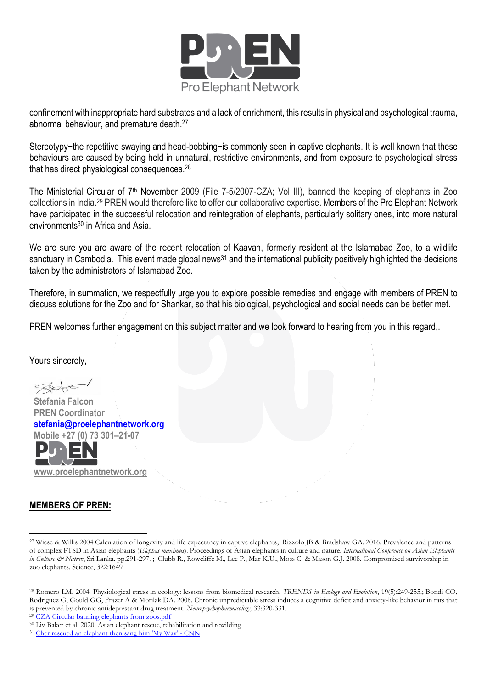

confinement with inappropriate hard substrates and a lack of enrichment, this results in physical and psychological trauma, abnormal behaviour, and premature death. 27

Stereotypy−the repetitive swaying and head-bobbing−is commonly seen in captive elephants. It is well known that these behaviours are caused by being held in unnatural, restrictive environments, and from exposure to psychological stress that has direct physiological consequences. 28

The Ministerial Circular of 7<sup>th</sup> November 2009 (File 7-5/2007-CZA; Vol III), banned the keeping of elephants in Zoo collections in India.<sup>29</sup> PREN would therefore like to offer our collaborative expertise. Members of the Pro Elephant Network have participated in the successful relocation and reintegration of elephants, particularly solitary ones, into more natural environments<sup>30</sup> in Africa and Asia.

We are sure you are aware of the recent relocation of Kaavan, formerly resident at the Islamabad Zoo, to a wildlife sanctuary in Cambodia. This event made global news<sup>31</sup> and the international publicity positively highlighted the decisions taken by the administrators of Islamabad Zoo.

Therefore, in summation, we respectfully urge you to explore possible remedies and engage with members of PREN to discuss solutions for the Zoo and for Shankar, so that his biological, psychological and social needs can be better met.

PREN welcomes further engagement on this subject matter and we look forward to hearing from you in this regard,.

Yours sincerely,

 $\triangle A$ 

 **Stefania Falcon PREN Coordinator [stefania@proelephantnetwork.org](mailto:stefania@proelephantnetwork.org)  Mobile +27 (0) 73 301–21-07** 

 **[www.proelephantnetwork.org](http://www.proelephantnetwork.org/)**

## **MEMBERS OF PREN:**

<sup>29</sup> [CZA Circular banning elephants from zoos.pdf](https://drive.google.com/file/d/1uPmUOSTesSr2A5ekBv2Ta-4rdkgUF_NP/view)

<sup>27</sup> Wiese & Willis 2004 Calculation of longevity and life expectancy in captive elephants; Rizzolo JB & Bradshaw GA. 2016. Prevalence and patterns of complex PTSD in Asian elephants (*Elephas maximus*). Proceedings of Asian elephants in culture and nature. *International Conference on Asian Elephants in Culture & Nature*, Sri Lanka. pp.291-297. ; Clubb R., Rowcliffe M., Lee P., Mar K.U., Moss C. & Mason G.J. 2008. Compromised survivorship in zoo elephants. Science, 322:1649

<sup>28</sup> Romero LM. 2004. Physiological stress in ecology: lessons from biomedical research. *TRENDS in Ecology and Evolution*, 19(5):249-255.; Bondi CO, Rodriguez G, Gould GG, Frazer A & Morilak DA. 2008. Chronic unpredictable stress induces a cognitive deficit and anxiety-like behavior in rats that is prevented by chronic antidepressant drug treatment. *Neuropsychopharmacology,* 33:320-331.

<sup>30</sup> Liv Baker et al, 2020. Asian elephant rescue, rehabilitation and rewilding

<sup>&</sup>lt;sup>31</sup> [Cher rescued an elephant then sang him 'My Way' -](https://edition.cnn.com/2021/04/22/entertainment/cher-elephant-documentary-trnd/index.html) CNN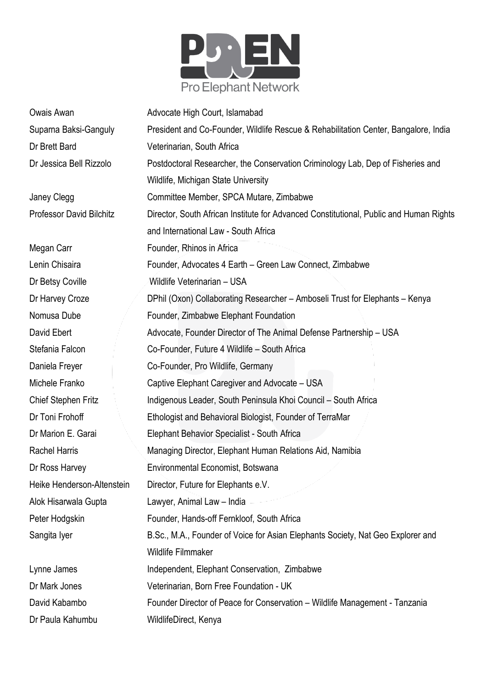

| Owais Awan                      | Advocate High Court, Islamabad                                                         |
|---------------------------------|----------------------------------------------------------------------------------------|
| Suparna Baksi-Ganguly           | President and Co-Founder, Wildlife Rescue & Rehabilitation Center, Bangalore, India    |
| Dr Brett Bard                   | Veterinarian, South Africa                                                             |
| Dr Jessica Bell Rizzolo         | Postdoctoral Researcher, the Conservation Criminology Lab, Dep of Fisheries and        |
|                                 | Wildlife, Michigan State University                                                    |
| Janey Clegg                     | Committee Member, SPCA Mutare, Zimbabwe                                                |
| <b>Professor David Bilchitz</b> | Director, South African Institute for Advanced Constitutional, Public and Human Rights |
|                                 | and International Law - South Africa                                                   |
| Megan Carr                      | Founder, Rhinos in Africa                                                              |
| Lenin Chisaira                  | Founder, Advocates 4 Earth - Green Law Connect, Zimbabwe                               |
| Dr Betsy Coville                | Wildlife Veterinarian - USA                                                            |
| Dr Harvey Croze                 | DPhil (Oxon) Collaborating Researcher - Amboseli Trust for Elephants - Kenya           |
| Nomusa Dube                     | Founder, Zimbabwe Elephant Foundation                                                  |
| David Ebert                     | Advocate, Founder Director of The Animal Defense Partnership - USA                     |
| Stefania Falcon                 | Co-Founder, Future 4 Wildlife - South Africa                                           |
| Daniela Freyer                  | Co-Founder, Pro Wildlife, Germany                                                      |
| Michele Franko                  | Captive Elephant Caregiver and Advocate – USA                                          |
| Chief Stephen Fritz             | Indigenous Leader, South Peninsula Khoi Council - South Africa                         |
| Dr Toni Frohoff                 | Ethologist and Behavioral Biologist, Founder of TerraMar                               |
| Dr Marion E. Garai              | Elephant Behavior Specialist - South Africa                                            |
| <b>Rachel Harris</b>            | Managing Director, Elephant Human Relations Aid, Namibia                               |
| Dr Ross Harvey                  | Environmental Economist, Botswana                                                      |
| Heike Henderson-Altenstein      | Director, Future for Elephants e.V.                                                    |
| Alok Hisarwala Gupta            | Lawyer, Animal Law - India                                                             |
| Peter Hodgskin                  | Founder, Hands-off Fernkloof, South Africa                                             |
| Sangita Iyer                    | B.Sc., M.A., Founder of Voice for Asian Elephants Society, Nat Geo Explorer and        |
|                                 | <b>Wildlife Filmmaker</b>                                                              |
| Lynne James                     | Independent, Elephant Conservation, Zimbabwe                                           |
| Dr Mark Jones                   | Veterinarian, Born Free Foundation - UK                                                |
| David Kabambo                   | Founder Director of Peace for Conservation - Wildlife Management - Tanzania            |
| Dr Paula Kahumbu                | WildlifeDirect, Kenya                                                                  |